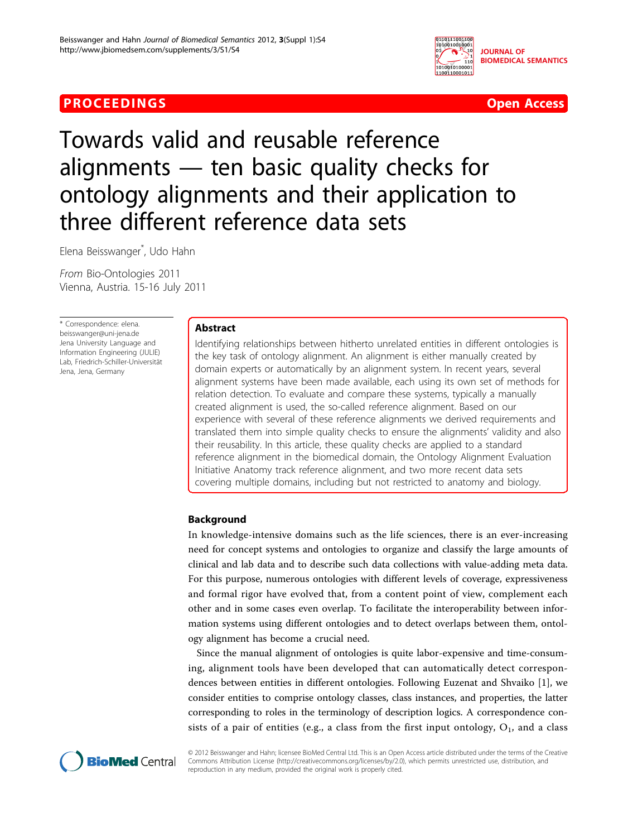## **PROCEEDINGS CONSUMING SECTION CONSUMING SECTION CONSUMING SECTION CONSUMING SECTION CONSUMING SECTION CONSUMING SECTION CONSUMING SECTION CONSUMING SECTION CONSUMING SECTION CONSUMING SECTION CONSUMING SECTION CONSUMING**



# Towards valid and reusable reference alignments — ten basic quality checks for ontology alignments and their application to three different reference data sets

Elena Beisswanger\* , Udo Hahn

From Bio-Ontologies 2011 Vienna, Austria. 15-16 July 2011

\* Correspondence: [elena.](mailto:elena.beisswanger@uni-jena.de) [beisswanger@uni-jena.de](mailto:elena.beisswanger@uni-jena.de) Jena University Language and Information Engineering (JULIE) Lab, Friedrich-Schiller-Universität Jena, Jena, Germany

## Abstract

Identifying relationships between hitherto unrelated entities in different ontologies is the key task of ontology alignment. An alignment is either manually created by domain experts or automatically by an alignment system. In recent years, several alignment systems have been made available, each using its own set of methods for relation detection. To evaluate and compare these systems, typically a manually created alignment is used, the so-called reference alignment. Based on our experience with several of these reference alignments we derived requirements and translated them into simple quality checks to ensure the alignments' validity and also their reusability. In this article, these quality checks are applied to a standard reference alignment in the biomedical domain, the Ontology Alignment Evaluation Initiative Anatomy track reference alignment, and two more recent data sets covering multiple domains, including but not restricted to anatomy and biology.

## Background

In knowledge-intensive domains such as the life sciences, there is an ever-increasing need for concept systems and ontologies to organize and classify the large amounts of clinical and lab data and to describe such data collections with value-adding meta data. For this purpose, numerous ontologies with different levels of coverage, expressiveness and formal rigor have evolved that, from a content point of view, complement each other and in some cases even overlap. To facilitate the interoperability between information systems using different ontologies and to detect overlaps between them, ontology alignment has become a crucial need.

Since the manual alignment of ontologies is quite labor-expensive and time-consuming, alignment tools have been developed that can automatically detect correspondences between entities in different ontologies. Following Euzenat and Shvaiko [[1\]](#page-12-0), we consider entities to comprise ontology classes, class instances, and properties, the latter corresponding to roles in the terminology of description logics. A correspondence consists of a pair of entities (e.g., a class from the first input ontology,  $O<sub>1</sub>$ , and a class



© 2012 Beisswanger and Hahn; licensee BioMed Central Ltd. This is an Open Access article distributed under the terms of the Creative Commons Attribution License [\(http://creativecommons.org/licenses/by/2.0](http://creativecommons.org/licenses/by/2.0)), which permits unrestricted use, distribution, and reproduction in any medium, provided the original work is properly cited.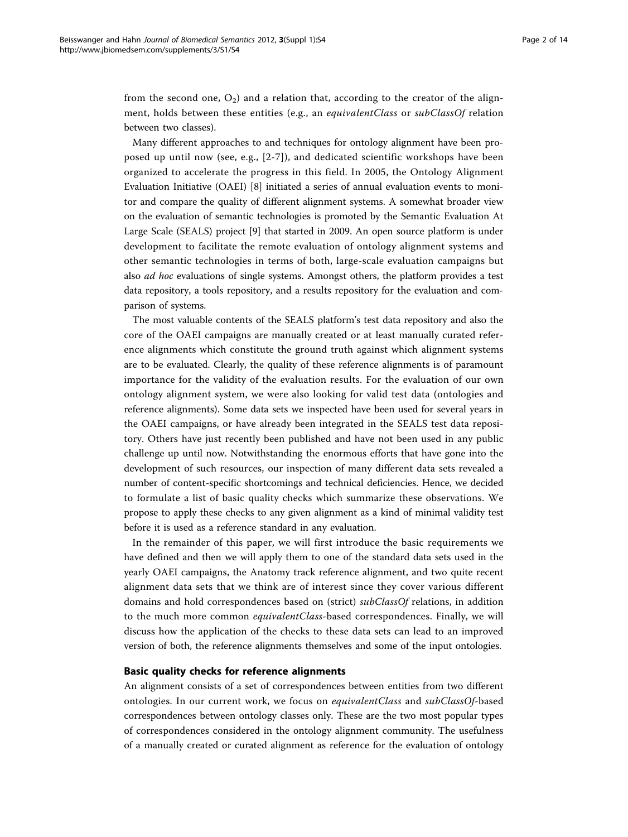from the second one,  $O_2$ ) and a relation that, according to the creator of the alignment, holds between these entities (e.g., an equivalentClass or subClassOf relation between two classes).

Many different approaches to and techniques for ontology alignment have been proposed up until now (see, e.g., [\[2](#page-12-0)-[7](#page-13-0)]), and dedicated scientific workshops have been organized to accelerate the progress in this field. In 2005, the Ontology Alignment Evaluation Initiative (OAEI) [[8\]](#page-13-0) initiated a series of annual evaluation events to monitor and compare the quality of different alignment systems. A somewhat broader view on the evaluation of semantic technologies is promoted by the Semantic Evaluation At Large Scale (SEALS) project [[9](#page-13-0)] that started in 2009. An open source platform is under development to facilitate the remote evaluation of ontology alignment systems and other semantic technologies in terms of both, large-scale evaluation campaigns but also ad hoc evaluations of single systems. Amongst others, the platform provides a test data repository, a tools repository, and a results repository for the evaluation and comparison of systems.

The most valuable contents of the SEALS platform's test data repository and also the core of the OAEI campaigns are manually created or at least manually curated reference alignments which constitute the ground truth against which alignment systems are to be evaluated. Clearly, the quality of these reference alignments is of paramount importance for the validity of the evaluation results. For the evaluation of our own ontology alignment system, we were also looking for valid test data (ontologies and reference alignments). Some data sets we inspected have been used for several years in the OAEI campaigns, or have already been integrated in the SEALS test data repository. Others have just recently been published and have not been used in any public challenge up until now. Notwithstanding the enormous efforts that have gone into the development of such resources, our inspection of many different data sets revealed a number of content-specific shortcomings and technical deficiencies. Hence, we decided to formulate a list of basic quality checks which summarize these observations. We propose to apply these checks to any given alignment as a kind of minimal validity test before it is used as a reference standard in any evaluation.

In the remainder of this paper, we will first introduce the basic requirements we have defined and then we will apply them to one of the standard data sets used in the yearly OAEI campaigns, the Anatomy track reference alignment, and two quite recent alignment data sets that we think are of interest since they cover various different domains and hold correspondences based on (strict) subClassOf relations, in addition to the much more common *equivalentClass-based* correspondences. Finally, we will discuss how the application of the checks to these data sets can lead to an improved version of both, the reference alignments themselves and some of the input ontologies.

#### Basic quality checks for reference alignments

An alignment consists of a set of correspondences between entities from two different ontologies. In our current work, we focus on equivalentClass and subClassOf-based correspondences between ontology classes only. These are the two most popular types of correspondences considered in the ontology alignment community. The usefulness of a manually created or curated alignment as reference for the evaluation of ontology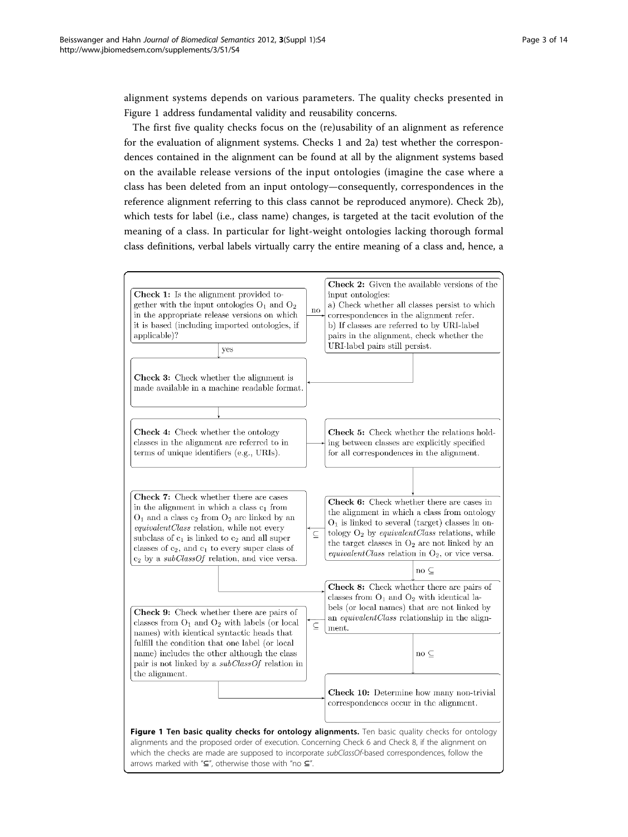alignment systems depends on various parameters. The quality checks presented in Figure 1 address fundamental validity and reusability concerns.

The first five quality checks focus on the (re)usability of an alignment as reference for the evaluation of alignment systems. Checks 1 and 2a) test whether the correspondences contained in the alignment can be found at all by the alignment systems based on the available release versions of the input ontologies (imagine the case where a class has been deleted from an input ontology—consequently, correspondences in the reference alignment referring to this class cannot be reproduced anymore). Check 2b), which tests for label (i.e., class name) changes, is targeted at the tacit evolution of the meaning of a class. In particular for light-weight ontologies lacking thorough formal class definitions, verbal labels virtually carry the entire meaning of a class and, hence, a

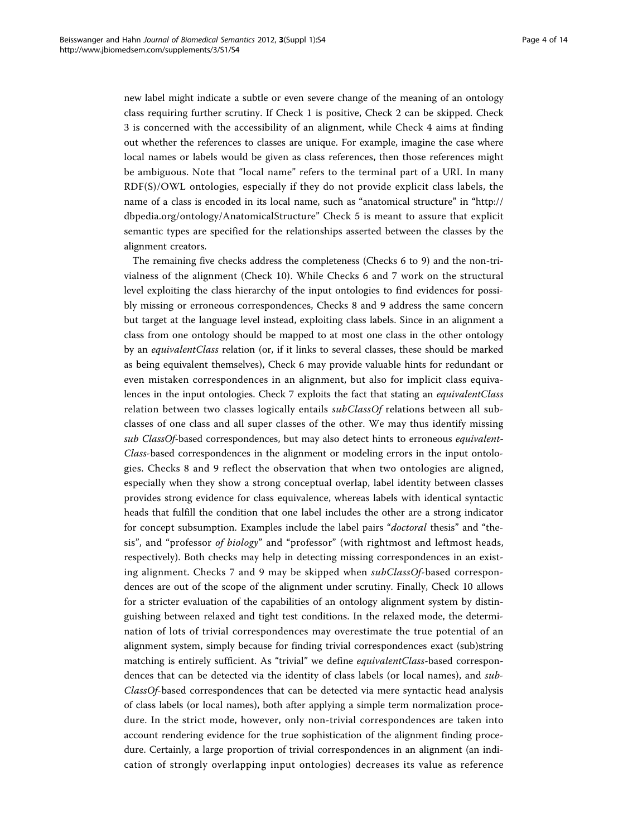new label might indicate a subtle or even severe change of the meaning of an ontology class requiring further scrutiny. If Check 1 is positive, Check 2 can be skipped. Check 3 is concerned with the accessibility of an alignment, while Check 4 aims at finding out whether the references to classes are unique. For example, imagine the case where local names or labels would be given as class references, then those references might be ambiguous. Note that "local name" refers to the terminal part of a URI. In many RDF(S)/OWL ontologies, especially if they do not provide explicit class labels, the name of a class is encoded in its local name, such as "anatomical structure" in "[http://](http://dbpedia.org/ontology/AnatomicalStructure) [dbpedia.org/ontology/AnatomicalStructure](http://dbpedia.org/ontology/AnatomicalStructure)" Check 5 is meant to assure that explicit semantic types are specified for the relationships asserted between the classes by the alignment creators.

The remaining five checks address the completeness (Checks 6 to 9) and the non-trivialness of the alignment (Check 10). While Checks 6 and 7 work on the structural level exploiting the class hierarchy of the input ontologies to find evidences for possibly missing or erroneous correspondences, Checks 8 and 9 address the same concern but target at the language level instead, exploiting class labels. Since in an alignment a class from one ontology should be mapped to at most one class in the other ontology by an equivalentClass relation (or, if it links to several classes, these should be marked as being equivalent themselves), Check 6 may provide valuable hints for redundant or even mistaken correspondences in an alignment, but also for implicit class equivalences in the input ontologies. Check 7 exploits the fact that stating an equivalentClass relation between two classes logically entails subClassOf relations between all subclasses of one class and all super classes of the other. We may thus identify missing sub ClassOf-based correspondences, but may also detect hints to erroneous equivalent-Class-based correspondences in the alignment or modeling errors in the input ontologies. Checks 8 and 9 reflect the observation that when two ontologies are aligned, especially when they show a strong conceptual overlap, label identity between classes provides strong evidence for class equivalence, whereas labels with identical syntactic heads that fulfill the condition that one label includes the other are a strong indicator for concept subsumption. Examples include the label pairs "doctoral thesis" and "thesis", and "professor of biology" and "professor" (with rightmost and leftmost heads, respectively). Both checks may help in detecting missing correspondences in an existing alignment. Checks 7 and 9 may be skipped when subClassOf-based correspondences are out of the scope of the alignment under scrutiny. Finally, Check 10 allows for a stricter evaluation of the capabilities of an ontology alignment system by distinguishing between relaxed and tight test conditions. In the relaxed mode, the determination of lots of trivial correspondences may overestimate the true potential of an alignment system, simply because for finding trivial correspondences exact (sub)string matching is entirely sufficient. As "trivial" we define equivalentClass-based correspondences that can be detected via the identity of class labels (or local names), and sub-ClassOf-based correspondences that can be detected via mere syntactic head analysis of class labels (or local names), both after applying a simple term normalization procedure. In the strict mode, however, only non-trivial correspondences are taken into account rendering evidence for the true sophistication of the alignment finding procedure. Certainly, a large proportion of trivial correspondences in an alignment (an indication of strongly overlapping input ontologies) decreases its value as reference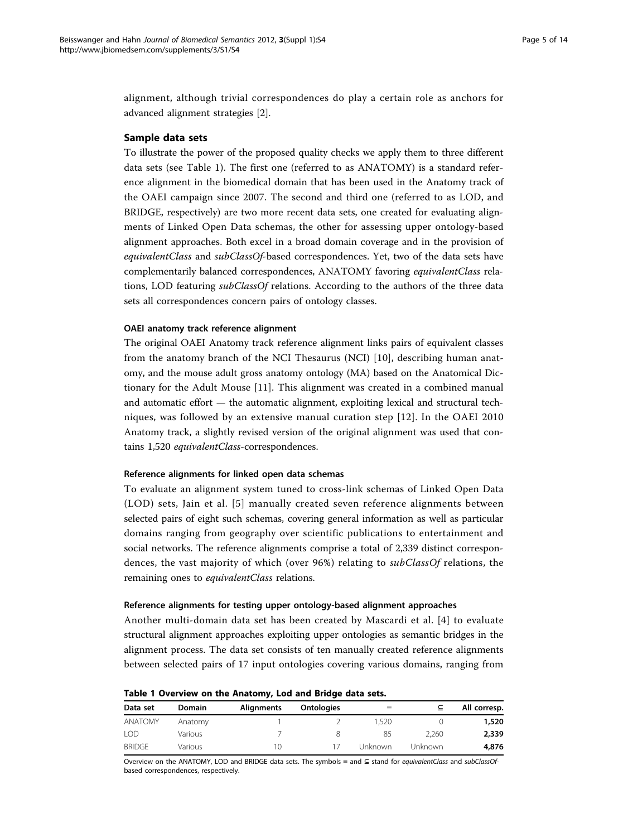<span id="page-4-0"></span>alignment, although trivial correspondences do play a certain role as anchors for advanced alignment strategies [[2\]](#page-12-0).

## Sample data sets

To illustrate the power of the proposed quality checks we apply them to three different data sets (see Table 1). The first one (referred to as ANATOMY) is a standard reference alignment in the biomedical domain that has been used in the Anatomy track of the OAEI campaign since 2007. The second and third one (referred to as LOD, and BRIDGE, respectively) are two more recent data sets, one created for evaluating alignments of Linked Open Data schemas, the other for assessing upper ontology-based alignment approaches. Both excel in a broad domain coverage and in the provision of equivalentClass and subClassOf-based correspondences. Yet, two of the data sets have complementarily balanced correspondences, ANATOMY favoring equivalentClass relations, LOD featuring subClassOf relations. According to the authors of the three data sets all correspondences concern pairs of ontology classes.

#### OAEI anatomy track reference alignment

The original OAEI Anatomy track reference alignment links pairs of equivalent classes from the anatomy branch of the NCI Thesaurus (NCI) [[10\]](#page-13-0), describing human anatomy, and the mouse adult gross anatomy ontology (MA) based on the Anatomical Dictionary for the Adult Mouse [\[11](#page-13-0)]. This alignment was created in a combined manual and automatic effort — the automatic alignment, exploiting lexical and structural techniques, was followed by an extensive manual curation step [[12](#page-13-0)]. In the OAEI 2010 Anatomy track, a slightly revised version of the original alignment was used that contains 1,520 equivalentClass-correspondences.

#### Reference alignments for linked open data schemas

To evaluate an alignment system tuned to cross-link schemas of Linked Open Data (LOD) sets, Jain et al. [\[5\]](#page-13-0) manually created seven reference alignments between selected pairs of eight such schemas, covering general information as well as particular domains ranging from geography over scientific publications to entertainment and social networks. The reference alignments comprise a total of 2,339 distinct correspondences, the vast majority of which (over 96%) relating to subClassOf relations, the remaining ones to equivalentClass relations.

#### Reference alignments for testing upper ontology-based alignment approaches

Another multi-domain data set has been created by Mascardi et al. [\[4\]](#page-13-0) to evaluate structural alignment approaches exploiting upper ontologies as semantic bridges in the alignment process. The data set consists of ten manually created reference alignments between selected pairs of 17 input ontologies covering various domains, ranging from

Table 1 Overview on the Anatomy, Lod and Bridge data sets.

| Data set       | <b>Domain</b> | Alianments | <b>Ontologies</b> | ≡       | $\overline{\phantom{0}}$ | All corresp. |
|----------------|---------------|------------|-------------------|---------|--------------------------|--------------|
| <b>ANATOMY</b> | Anatomy       |            |                   | .520    |                          | 1,520        |
| <b>LOD</b>     | Various       |            |                   | 85      | 2.260                    | 2,339        |
| <b>BRIDGE</b>  | Various       | 10         |                   | Unknown | Unknown                  | 4,876        |

Overview on the ANATOMY, LOD and BRIDGE data sets. The symbols ≡ and ⊆ stand for equivalentClass and subClassOfbased correspondences, respectively.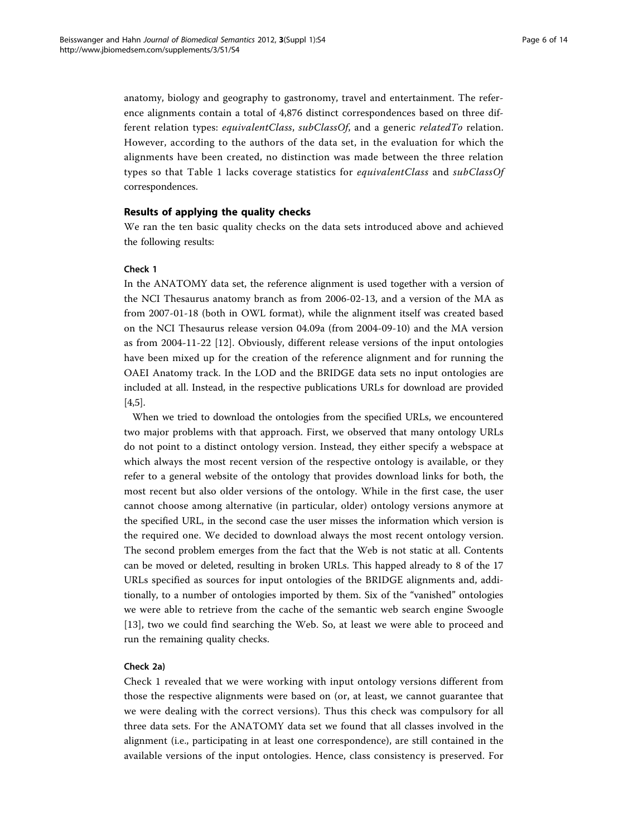anatomy, biology and geography to gastronomy, travel and entertainment. The reference alignments contain a total of 4,876 distinct correspondences based on three different relation types: equivalentClass, subClassOf, and a generic relatedTo relation. However, according to the authors of the data set, in the evaluation for which the alignments have been created, no distinction was made between the three relation types so that Table [1](#page-4-0) lacks coverage statistics for equivalentClass and subClassOf correspondences.

## Results of applying the quality checks

We ran the ten basic quality checks on the data sets introduced above and achieved the following results:

#### Check 1

In the ANATOMY data set, the reference alignment is used together with a version of the NCI Thesaurus anatomy branch as from 2006-02-13, and a version of the MA as from 2007-01-18 (both in OWL format), while the alignment itself was created based on the NCI Thesaurus release version 04.09a (from 2004-09-10) and the MA version as from 2004-11-22 [[12](#page-13-0)]. Obviously, different release versions of the input ontologies have been mixed up for the creation of the reference alignment and for running the OAEI Anatomy track. In the LOD and the BRIDGE data sets no input ontologies are included at all. Instead, in the respective publications URLs for download are provided [[4,5\]](#page-13-0).

When we tried to download the ontologies from the specified URLs, we encountered two major problems with that approach. First, we observed that many ontology URLs do not point to a distinct ontology version. Instead, they either specify a webspace at which always the most recent version of the respective ontology is available, or they refer to a general website of the ontology that provides download links for both, the most recent but also older versions of the ontology. While in the first case, the user cannot choose among alternative (in particular, older) ontology versions anymore at the specified URL, in the second case the user misses the information which version is the required one. We decided to download always the most recent ontology version. The second problem emerges from the fact that the Web is not static at all. Contents can be moved or deleted, resulting in broken URLs. This happed already to 8 of the 17 URLs specified as sources for input ontologies of the BRIDGE alignments and, additionally, to a number of ontologies imported by them. Six of the "vanished" ontologies we were able to retrieve from the cache of the semantic web search engine Swoogle [[13\]](#page-13-0), two we could find searching the Web. So, at least we were able to proceed and run the remaining quality checks.

#### Check 2a)

Check 1 revealed that we were working with input ontology versions different from those the respective alignments were based on (or, at least, we cannot guarantee that we were dealing with the correct versions). Thus this check was compulsory for all three data sets. For the ANATOMY data set we found that all classes involved in the alignment (i.e., participating in at least one correspondence), are still contained in the available versions of the input ontologies. Hence, class consistency is preserved. For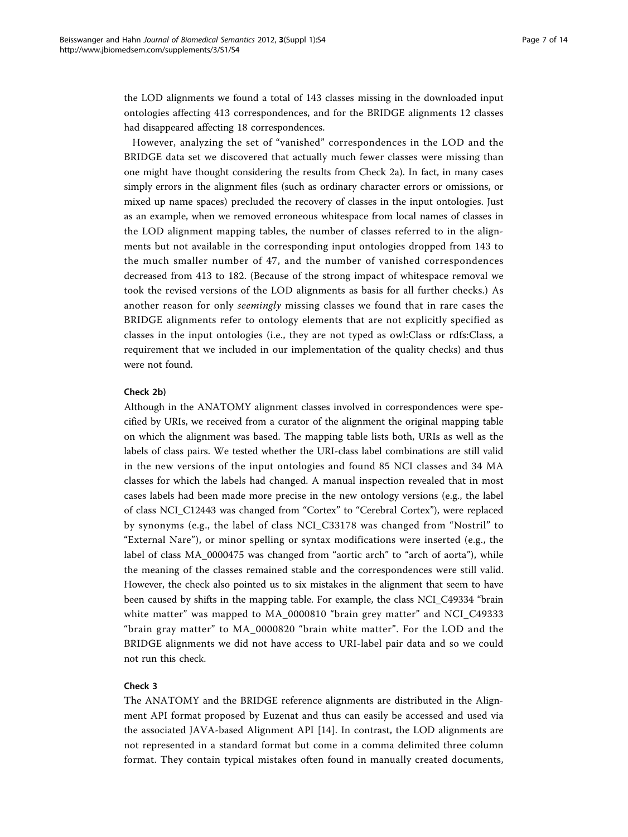the LOD alignments we found a total of 143 classes missing in the downloaded input ontologies affecting 413 correspondences, and for the BRIDGE alignments 12 classes had disappeared affecting 18 correspondences.

However, analyzing the set of "vanished" correspondences in the LOD and the BRIDGE data set we discovered that actually much fewer classes were missing than one might have thought considering the results from Check 2a). In fact, in many cases simply errors in the alignment files (such as ordinary character errors or omissions, or mixed up name spaces) precluded the recovery of classes in the input ontologies. Just as an example, when we removed erroneous whitespace from local names of classes in the LOD alignment mapping tables, the number of classes referred to in the alignments but not available in the corresponding input ontologies dropped from 143 to the much smaller number of 47, and the number of vanished correspondences decreased from 413 to 182. (Because of the strong impact of whitespace removal we took the revised versions of the LOD alignments as basis for all further checks.) As another reason for only *seemingly* missing classes we found that in rare cases the BRIDGE alignments refer to ontology elements that are not explicitly specified as classes in the input ontologies (i.e., they are not typed as owl:Class or rdfs:Class, a requirement that we included in our implementation of the quality checks) and thus were not found.

#### Check 2b)

Although in the ANATOMY alignment classes involved in correspondences were specified by URIs, we received from a curator of the alignment the original mapping table on which the alignment was based. The mapping table lists both, URIs as well as the labels of class pairs. We tested whether the URI-class label combinations are still valid in the new versions of the input ontologies and found 85 NCI classes and 34 MA classes for which the labels had changed. A manual inspection revealed that in most cases labels had been made more precise in the new ontology versions (e.g., the label of class NCI\_C12443 was changed from "Cortex" to "Cerebral Cortex"), were replaced by synonyms (e.g., the label of class NCI\_C33178 was changed from "Nostril" to "External Nare"), or minor spelling or syntax modifications were inserted (e.g., the label of class MA\_0000475 was changed from "aortic arch" to "arch of aorta"), while the meaning of the classes remained stable and the correspondences were still valid. However, the check also pointed us to six mistakes in the alignment that seem to have been caused by shifts in the mapping table. For example, the class NCI\_C49334 "brain white matter" was mapped to MA\_0000810 "brain grey matter" and NCI\_C49333 "brain gray matter" to MA\_0000820 "brain white matter". For the LOD and the BRIDGE alignments we did not have access to URI-label pair data and so we could not run this check.

#### Check 3

The ANATOMY and the BRIDGE reference alignments are distributed in the Alignment API format proposed by Euzenat and thus can easily be accessed and used via the associated JAVA-based Alignment API [[14\]](#page-13-0). In contrast, the LOD alignments are not represented in a standard format but come in a comma delimited three column format. They contain typical mistakes often found in manually created documents,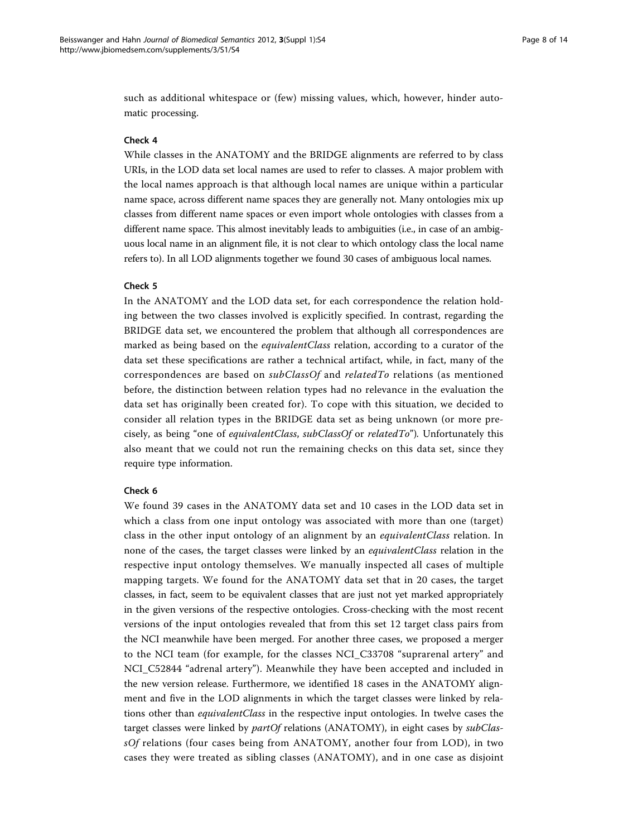such as additional whitespace or (few) missing values, which, however, hinder automatic processing.

#### Check 4

While classes in the ANATOMY and the BRIDGE alignments are referred to by class URIs, in the LOD data set local names are used to refer to classes. A major problem with the local names approach is that although local names are unique within a particular name space, across different name spaces they are generally not. Many ontologies mix up classes from different name spaces or even import whole ontologies with classes from a different name space. This almost inevitably leads to ambiguities (i.e., in case of an ambiguous local name in an alignment file, it is not clear to which ontology class the local name refers to). In all LOD alignments together we found 30 cases of ambiguous local names.

#### Check 5

In the ANATOMY and the LOD data set, for each correspondence the relation holding between the two classes involved is explicitly specified. In contrast, regarding the BRIDGE data set, we encountered the problem that although all correspondences are marked as being based on the equivalentClass relation, according to a curator of the data set these specifications are rather a technical artifact, while, in fact, many of the correspondences are based on subClassOf and relatedTo relations (as mentioned before, the distinction between relation types had no relevance in the evaluation the data set has originally been created for). To cope with this situation, we decided to consider all relation types in the BRIDGE data set as being unknown (or more precisely, as being "one of *equivalentClass, subClassOf* or *relatedTo*"). Unfortunately this also meant that we could not run the remaining checks on this data set, since they require type information.

#### Check 6

We found 39 cases in the ANATOMY data set and 10 cases in the LOD data set in which a class from one input ontology was associated with more than one (target) class in the other input ontology of an alignment by an *equivalentClass* relation. In none of the cases, the target classes were linked by an equivalentClass relation in the respective input ontology themselves. We manually inspected all cases of multiple mapping targets. We found for the ANATOMY data set that in 20 cases, the target classes, in fact, seem to be equivalent classes that are just not yet marked appropriately in the given versions of the respective ontologies. Cross-checking with the most recent versions of the input ontologies revealed that from this set 12 target class pairs from the NCI meanwhile have been merged. For another three cases, we proposed a merger to the NCI team (for example, for the classes NCI\_C33708 "suprarenal artery" and NCI\_C52844 "adrenal artery"). Meanwhile they have been accepted and included in the new version release. Furthermore, we identified 18 cases in the ANATOMY alignment and five in the LOD alignments in which the target classes were linked by relations other than equivalentClass in the respective input ontologies. In twelve cases the target classes were linked by *partOf* relations (ANATOMY), in eight cases by *subClas*sOf relations (four cases being from ANATOMY, another four from LOD), in two cases they were treated as sibling classes (ANATOMY), and in one case as disjoint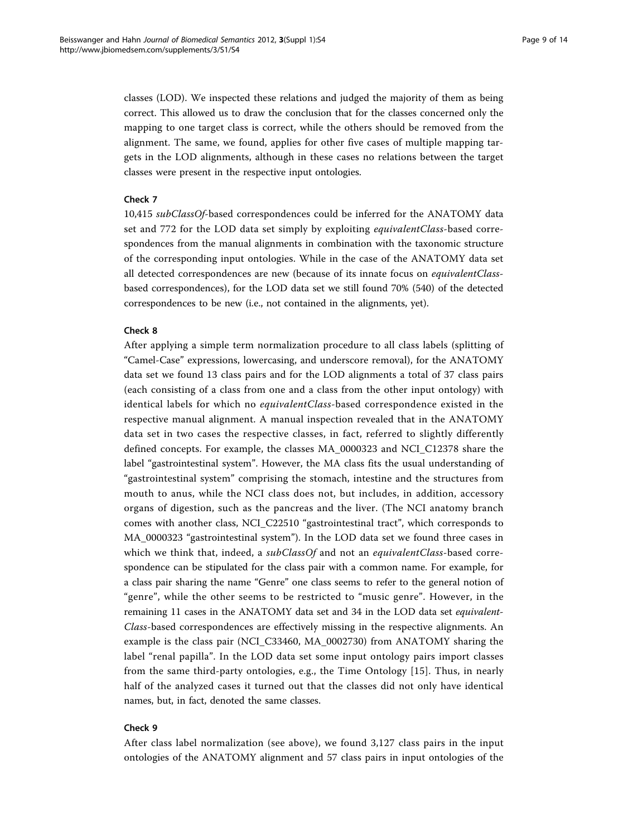classes (LOD). We inspected these relations and judged the majority of them as being correct. This allowed us to draw the conclusion that for the classes concerned only the mapping to one target class is correct, while the others should be removed from the alignment. The same, we found, applies for other five cases of multiple mapping targets in the LOD alignments, although in these cases no relations between the target classes were present in the respective input ontologies.

#### Check 7

10,415 subClassOf-based correspondences could be inferred for the ANATOMY data set and 772 for the LOD data set simply by exploiting equivalentClass-based correspondences from the manual alignments in combination with the taxonomic structure of the corresponding input ontologies. While in the case of the ANATOMY data set all detected correspondences are new (because of its innate focus on equivalentClassbased correspondences), for the LOD data set we still found 70% (540) of the detected correspondences to be new (i.e., not contained in the alignments, yet).

#### Check 8

After applying a simple term normalization procedure to all class labels (splitting of "Camel-Case" expressions, lowercasing, and underscore removal), for the ANATOMY data set we found 13 class pairs and for the LOD alignments a total of 37 class pairs (each consisting of a class from one and a class from the other input ontology) with identical labels for which no *equivalentClass*-based correspondence existed in the respective manual alignment. A manual inspection revealed that in the ANATOMY data set in two cases the respective classes, in fact, referred to slightly differently defined concepts. For example, the classes MA\_0000323 and NCI\_C12378 share the label "gastrointestinal system". However, the MA class fits the usual understanding of "gastrointestinal system" comprising the stomach, intestine and the structures from mouth to anus, while the NCI class does not, but includes, in addition, accessory organs of digestion, such as the pancreas and the liver. (The NCI anatomy branch comes with another class, NCI\_C22510 "gastrointestinal tract", which corresponds to MA\_0000323 "gastrointestinal system"). In the LOD data set we found three cases in which we think that, indeed, a subClassOf and not an equivalentClass-based correspondence can be stipulated for the class pair with a common name. For example, for a class pair sharing the name "Genre" one class seems to refer to the general notion of "genre", while the other seems to be restricted to "music genre". However, in the remaining 11 cases in the ANATOMY data set and 34 in the LOD data set equivalent-Class-based correspondences are effectively missing in the respective alignments. An example is the class pair (NCI\_C33460, MA\_0002730) from ANATOMY sharing the label "renal papilla". In the LOD data set some input ontology pairs import classes from the same third-party ontologies, e.g., the Time Ontology [[15](#page-13-0)]. Thus, in nearly half of the analyzed cases it turned out that the classes did not only have identical names, but, in fact, denoted the same classes.

#### Check 9

After class label normalization (see above), we found 3,127 class pairs in the input ontologies of the ANATOMY alignment and 57 class pairs in input ontologies of the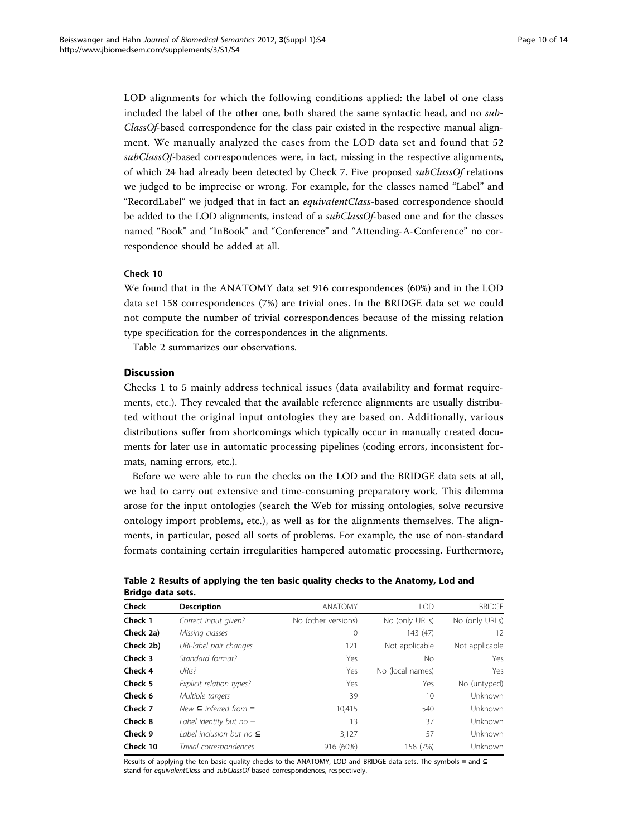LOD alignments for which the following conditions applied: the label of one class included the label of the other one, both shared the same syntactic head, and no sub-ClassOf-based correspondence for the class pair existed in the respective manual alignment. We manually analyzed the cases from the LOD data set and found that 52 subClassOf-based correspondences were, in fact, missing in the respective alignments, of which 24 had already been detected by Check 7. Five proposed subClassOf relations we judged to be imprecise or wrong. For example, for the classes named "Label" and "RecordLabel" we judged that in fact an equivalentClass-based correspondence should be added to the LOD alignments, instead of a subClassOf-based one and for the classes named "Book" and "InBook" and "Conference" and "Attending-A-Conference" no correspondence should be added at all.

#### Check 10

We found that in the ANATOMY data set 916 correspondences (60%) and in the LOD data set 158 correspondences (7%) are trivial ones. In the BRIDGE data set we could not compute the number of trivial correspondences because of the missing relation type specification for the correspondences in the alignments.

Table 2 summarizes our observations.

## **Discussion**

Checks 1 to 5 mainly address technical issues (data availability and format requirements, etc.). They revealed that the available reference alignments are usually distributed without the original input ontologies they are based on. Additionally, various distributions suffer from shortcomings which typically occur in manually created documents for later use in automatic processing pipelines (coding errors, inconsistent formats, naming errors, etc.).

Before we were able to run the checks on the LOD and the BRIDGE data sets at all, we had to carry out extensive and time-consuming preparatory work. This dilemma arose for the input ontologies (search the Web for missing ontologies, solve recursive ontology import problems, etc.), as well as for the alignments themselves. The alignments, in particular, posed all sorts of problems. For example, the use of non-standard formats containing certain irregularities hampered automatic processing. Furthermore,

| DITUYE UQLA JELJ. |                                        |                     |                  |                |  |  |  |
|-------------------|----------------------------------------|---------------------|------------------|----------------|--|--|--|
| <b>Check</b>      | <b>Description</b>                     | <b>ANATOMY</b>      | <b>LOD</b>       | <b>BRIDGE</b>  |  |  |  |
| Check 1           | Correct input given?                   | No (other versions) | No (only URLs)   | No (only URLs) |  |  |  |
| Check 2a)         | Missing classes                        | 0                   | 143 (47)         | 12             |  |  |  |
| Check 2b)         | URI-label pair changes                 | 121                 | Not applicable   | Not applicable |  |  |  |
| Check 3           | Standard format?                       | Yes                 | No.              | Yes            |  |  |  |
| Check 4           | URIs?                                  | Yes                 | No (local names) | Yes            |  |  |  |
| Check 5           | Explicit relation types?               | Yes                 | Yes              | No (untyped)   |  |  |  |
| Check 6           | Multiple targets                       | 39                  | 10               | Unknown        |  |  |  |
| Check 7           | New $\subseteq$ inferred from $\equiv$ | 10,415              | 540              | Unknown        |  |  |  |
| Check 8           | Label identity but no $\equiv$         | 13                  | 37               | Unknown        |  |  |  |
| Check 9           | l abel inclusion but no $\subseteq$    | 3,127               | 57               | Unknown        |  |  |  |
| Check 10          | Trivial correspondences                | 916 (60%)           | 158 (7%)         | Unknown        |  |  |  |

Table 2 Results of applying the ten basic quality checks to the Anatomy, Lod and Bridge data sets.

Results of applying the ten basic quality checks to the ANATOMY, LOD and BRIDGE data sets. The symbols ≡ and ⊆ stand for equivalentClass and subClassOf-based correspondences, respectively.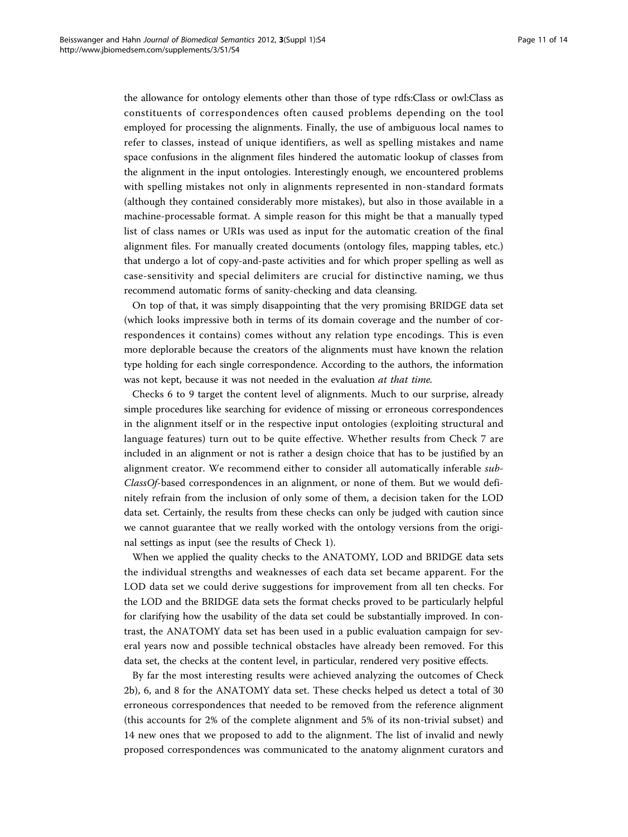the allowance for ontology elements other than those of type rdfs:Class or owl:Class as constituents of correspondences often caused problems depending on the tool employed for processing the alignments. Finally, the use of ambiguous local names to refer to classes, instead of unique identifiers, as well as spelling mistakes and name space confusions in the alignment files hindered the automatic lookup of classes from the alignment in the input ontologies. Interestingly enough, we encountered problems with spelling mistakes not only in alignments represented in non-standard formats (although they contained considerably more mistakes), but also in those available in a machine-processable format. A simple reason for this might be that a manually typed list of class names or URIs was used as input for the automatic creation of the final alignment files. For manually created documents (ontology files, mapping tables, etc.) that undergo a lot of copy-and-paste activities and for which proper spelling as well as case-sensitivity and special delimiters are crucial for distinctive naming, we thus recommend automatic forms of sanity-checking and data cleansing.

On top of that, it was simply disappointing that the very promising BRIDGE data set (which looks impressive both in terms of its domain coverage and the number of correspondences it contains) comes without any relation type encodings. This is even more deplorable because the creators of the alignments must have known the relation type holding for each single correspondence. According to the authors, the information was not kept, because it was not needed in the evaluation at that time.

Checks 6 to 9 target the content level of alignments. Much to our surprise, already simple procedures like searching for evidence of missing or erroneous correspondences in the alignment itself or in the respective input ontologies (exploiting structural and language features) turn out to be quite effective. Whether results from Check 7 are included in an alignment or not is rather a design choice that has to be justified by an alignment creator. We recommend either to consider all automatically inferable sub-ClassOf-based correspondences in an alignment, or none of them. But we would definitely refrain from the inclusion of only some of them, a decision taken for the LOD data set. Certainly, the results from these checks can only be judged with caution since we cannot guarantee that we really worked with the ontology versions from the original settings as input (see the results of Check 1).

When we applied the quality checks to the ANATOMY, LOD and BRIDGE data sets the individual strengths and weaknesses of each data set became apparent. For the LOD data set we could derive suggestions for improvement from all ten checks. For the LOD and the BRIDGE data sets the format checks proved to be particularly helpful for clarifying how the usability of the data set could be substantially improved. In contrast, the ANATOMY data set has been used in a public evaluation campaign for several years now and possible technical obstacles have already been removed. For this data set, the checks at the content level, in particular, rendered very positive effects.

By far the most interesting results were achieved analyzing the outcomes of Check 2b), 6, and 8 for the ANATOMY data set. These checks helped us detect a total of 30 erroneous correspondences that needed to be removed from the reference alignment (this accounts for 2% of the complete alignment and 5% of its non-trivial subset) and 14 new ones that we proposed to add to the alignment. The list of invalid and newly proposed correspondences was communicated to the anatomy alignment curators and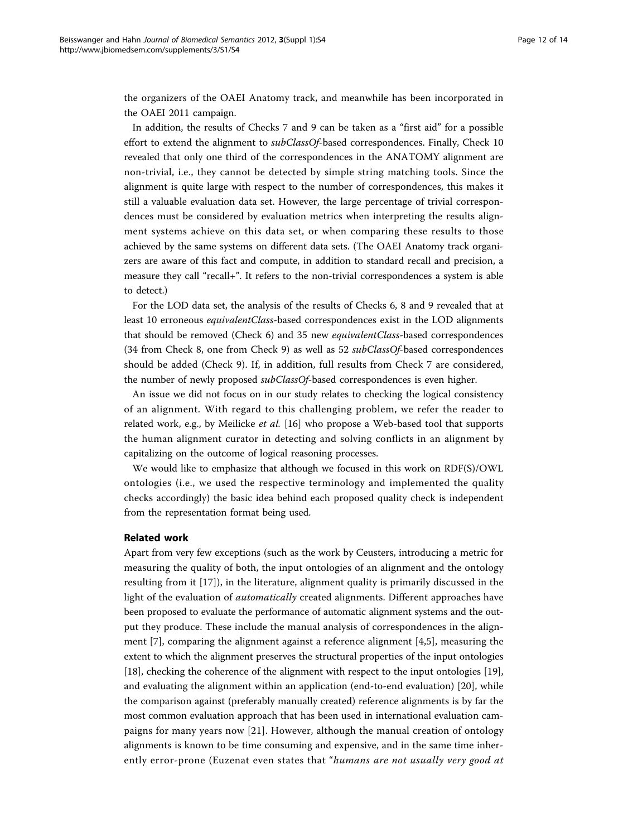the organizers of the OAEI Anatomy track, and meanwhile has been incorporated in the OAEI 2011 campaign.

In addition, the results of Checks 7 and 9 can be taken as a "first aid" for a possible effort to extend the alignment to *subClassOf*-based correspondences. Finally, Check 10 revealed that only one third of the correspondences in the ANATOMY alignment are non-trivial, i.e., they cannot be detected by simple string matching tools. Since the alignment is quite large with respect to the number of correspondences, this makes it still a valuable evaluation data set. However, the large percentage of trivial correspondences must be considered by evaluation metrics when interpreting the results alignment systems achieve on this data set, or when comparing these results to those achieved by the same systems on different data sets. (The OAEI Anatomy track organizers are aware of this fact and compute, in addition to standard recall and precision, a measure they call "recall+". It refers to the non-trivial correspondences a system is able to detect.)

For the LOD data set, the analysis of the results of Checks 6, 8 and 9 revealed that at least 10 erroneous equivalentClass-based correspondences exist in the LOD alignments that should be removed (Check 6) and 35 new equivalentClass-based correspondences (34 from Check 8, one from Check 9) as well as 52 subClassOf-based correspondences should be added (Check 9). If, in addition, full results from Check 7 are considered, the number of newly proposed subClassOf-based correspondences is even higher.

An issue we did not focus on in our study relates to checking the logical consistency of an alignment. With regard to this challenging problem, we refer the reader to related work, e.g., by Meilicke *et al.* [[16\]](#page-13-0) who propose a Web-based tool that supports the human alignment curator in detecting and solving conflicts in an alignment by capitalizing on the outcome of logical reasoning processes.

We would like to emphasize that although we focused in this work on RDF(S)/OWL ontologies (i.e., we used the respective terminology and implemented the quality checks accordingly) the basic idea behind each proposed quality check is independent from the representation format being used.

## Related work

Apart from very few exceptions (such as the work by Ceusters, introducing a metric for measuring the quality of both, the input ontologies of an alignment and the ontology resulting from it [\[17](#page-13-0)]), in the literature, alignment quality is primarily discussed in the light of the evaluation of *automatically* created alignments. Different approaches have been proposed to evaluate the performance of automatic alignment systems and the output they produce. These include the manual analysis of correspondences in the alignment [\[7\]](#page-13-0), comparing the alignment against a reference alignment [\[4](#page-13-0),[5\]](#page-13-0), measuring the extent to which the alignment preserves the structural properties of the input ontologies [[18\]](#page-13-0), checking the coherence of the alignment with respect to the input ontologies [\[19](#page-13-0)], and evaluating the alignment within an application (end-to-end evaluation) [\[20](#page-13-0)], while the comparison against (preferably manually created) reference alignments is by far the most common evaluation approach that has been used in international evaluation campaigns for many years now [[21](#page-13-0)]. However, although the manual creation of ontology alignments is known to be time consuming and expensive, and in the same time inherently error-prone (Euzenat even states that "humans are not usually very good at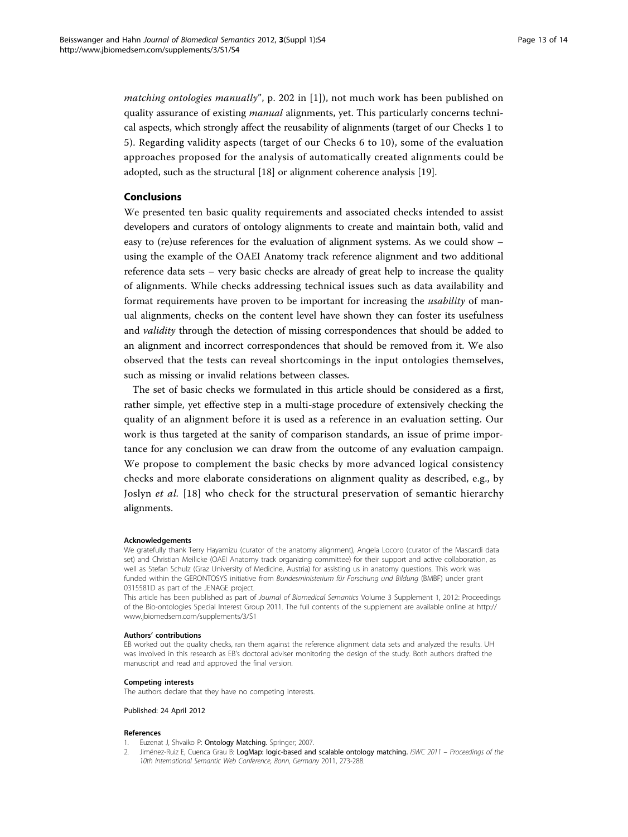<span id="page-12-0"></span>*matching ontologies manually*", p. 202 in [1]), not much work has been published on quality assurance of existing *manual* alignments, yet. This particularly concerns technical aspects, which strongly affect the reusability of alignments (target of our Checks 1 to 5). Regarding validity aspects (target of our Checks 6 to 10), some of the evaluation approaches proposed for the analysis of automatically created alignments could be adopted, such as the structural [\[18\]](#page-13-0) or alignment coherence analysis [[19](#page-13-0)].

#### Conclusions

We presented ten basic quality requirements and associated checks intended to assist developers and curators of ontology alignments to create and maintain both, valid and easy to (re)use references for the evaluation of alignment systems. As we could show – using the example of the OAEI Anatomy track reference alignment and two additional reference data sets – very basic checks are already of great help to increase the quality of alignments. While checks addressing technical issues such as data availability and format requirements have proven to be important for increasing the usability of manual alignments, checks on the content level have shown they can foster its usefulness and validity through the detection of missing correspondences that should be added to an alignment and incorrect correspondences that should be removed from it. We also observed that the tests can reveal shortcomings in the input ontologies themselves, such as missing or invalid relations between classes.

The set of basic checks we formulated in this article should be considered as a first, rather simple, yet effective step in a multi-stage procedure of extensively checking the quality of an alignment before it is used as a reference in an evaluation setting. Our work is thus targeted at the sanity of comparison standards, an issue of prime importance for any conclusion we can draw from the outcome of any evaluation campaign. We propose to complement the basic checks by more advanced logical consistency checks and more elaborate considerations on alignment quality as described, e.g., by Joslyn et al. [[18\]](#page-13-0) who check for the structural preservation of semantic hierarchy alignments.

#### Acknowledgements

We gratefully thank Terry Hayamizu (curator of the anatomy alignment), Angela Locoro (curator of the Mascardi data set) and Christian Meilicke (OAEI Anatomy track organizing committee) for their support and active collaboration, as well as Stefan Schulz (Graz University of Medicine, Austria) for assisting us in anatomy questions. This work was funded within the GERONTOSYS initiative from Bundesministerium für Forschung und Bildung (BMBF) under grant 0315581D as part of the JENAGE project.

This article has been published as part of Journal of Biomedical Semantics Volume 3 Supplement 1, 2012: Proceedings of the Bio-ontologies Special Interest Group 2011. The full contents of the supplement are available online at [http://](http://www.jbiomedsem.com/supplements/3/S1) [www.jbiomedsem.com/supplements/3/S1](http://www.jbiomedsem.com/supplements/3/S1)

#### Authors' contributions

EB worked out the quality checks, ran them against the reference alignment data sets and analyzed the results. UH was involved in this research as EB's doctoral adviser monitoring the design of the study. Both authors drafted the manuscript and read and approved the final version.

#### Competing interests

The authors declare that they have no competing interests.

#### Published: 24 April 2012

#### References

- 1. Euzenat J, Shvaiko P: Ontology Matching. Springer; 2007.
- 2. Jiménez-Ruiz E, Cuenca Grau B: [LogMap: logic-based and scalable ontology matching.](http://www.ncbi.nlm.nih.gov/pubmed/21958706?dopt=Abstract) ISWC 2011 Proceedings of the 10th International Semantic Web Conference, Bonn, Germany 2011, 273-288.